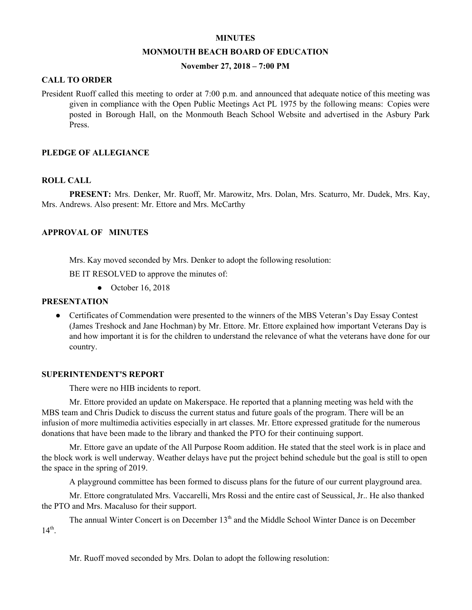#### **MINUTES**

#### **MONMOUTH BEACH BOARD OF EDUCATION**

### **November 27, 2018 – 7:00 PM**

#### **CALL TO ORDER**

President Ruoff called this meeting to order at 7:00 p.m. and announced that adequate notice of this meeting was given in compliance with the Open Public Meetings Act PL 1975 by the following means: Copies were posted in Borough Hall, on the Monmouth Beach School Website and advertised in the Asbury Park Press.

#### **PLEDGE OF ALLEGIANCE**

#### **ROLL CALL**

**PRESENT:** Mrs. Denker, Mr. Ruoff, Mr. Marowitz, Mrs. Dolan, Mrs. Scaturro, Mr. Dudek, Mrs. Kay, Mrs. Andrews. Also present: Mr. Ettore and Mrs. McCarthy

#### **APPROVAL OF MINUTES**

Mrs. Kay moved seconded by Mrs. Denker to adopt the following resolution:

BE IT RESOLVED to approve the minutes of:

● October 16, 2018

#### **PRESENTATION**

• Certificates of Commendation were presented to the winners of the MBS Veteran's Day Essay Contest (James Treshock and Jane Hochman) by Mr. Ettore. Mr. Ettore explained how important Veterans Day is and how important it is for the children to understand the relevance of what the veterans have done for our country.

#### **SUPERINTENDENT'S REPORT**

There were no HIB incidents to report.

Mr. Ettore provided an update on Makerspace. He reported that a planning meeting was held with the MBS team and Chris Dudick to discuss the current status and future goals of the program. There will be an infusion of more multimedia activities especially in art classes. Mr. Ettore expressed gratitude for the numerous donations that have been made to the library and thanked the PTO for their continuing support.

Mr. Ettore gave an update of the All Purpose Room addition. He stated that the steel work is in place and the block work is well underway. Weather delays have put the project behind schedule but the goal is still to open the space in the spring of 2019.

A playground committee has been formed to discuss plans for the future of our current playground area.

Mr. Ettore congratulated Mrs. Vaccarelli, Mrs Rossi and the entire cast of Seussical, Jr.. He also thanked the PTO and Mrs. Macaluso for their support.

The annual Winter Concert is on December 13<sup>th</sup> and the Middle School Winter Dance is on December  $14^{\text{th}}$ .

Mr. Ruoff moved seconded by Mrs. Dolan to adopt the following resolution: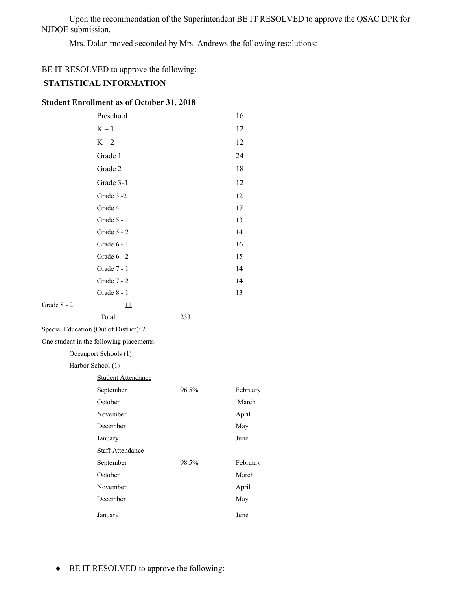Upon the recommendation of the Superintendent BE IT RESOLVED to approve the QSAC DPR for NJDOE submission.

Mrs. Dolan moved seconded by Mrs. Andrews the following resolutions:

# BE IT RESOLVED to approve the following:

# **STATISTICAL INFORMATION**

| <b>Student Enrollment as of October 31, 2018</b> |
|--------------------------------------------------|
|--------------------------------------------------|

|                                          | Preschool                 |       | 16       |  |
|------------------------------------------|---------------------------|-------|----------|--|
|                                          | $K - 1$                   |       | 12       |  |
|                                          | $K-2$                     |       | 12       |  |
|                                          | Grade 1                   |       | 24       |  |
|                                          | Grade 2                   |       | 18       |  |
|                                          | Grade 3-1                 |       | 12       |  |
|                                          | Grade 3-2                 |       | 12       |  |
|                                          | Grade 4                   |       | 17       |  |
|                                          | Grade 5 - 1               |       | 13       |  |
|                                          | Grade 5 - 2               |       | 14       |  |
|                                          | Grade 6 - 1               |       | 16       |  |
|                                          | Grade 6 - 2               |       | 15       |  |
|                                          | Grade 7 - 1               |       | 14       |  |
|                                          | Grade 7 - 2               |       | 14       |  |
|                                          | Grade 8 - 1               |       | 13       |  |
| Grade 8 - 2                              | $\mathbf{\mathbf{11}}$    |       |          |  |
|                                          | Total                     | 233   |          |  |
| Special Education (Out of District): 2   |                           |       |          |  |
| One student in the following placements: |                           |       |          |  |
| Oceanport Schools (1)                    |                           |       |          |  |
| Harbor School (1)                        |                           |       |          |  |
|                                          | <b>Student Attendance</b> |       |          |  |
|                                          | September                 | 96.5% | February |  |
|                                          | October                   |       | March    |  |
|                                          | November                  |       | April    |  |
|                                          | December                  |       | May      |  |
|                                          | January                   |       | June     |  |
|                                          | <b>Staff Attendance</b>   |       |          |  |
|                                          | September                 | 98.5% | February |  |
|                                          | October                   |       | March    |  |
|                                          | November                  |       | April    |  |
|                                          | December                  |       | May      |  |
|                                          | January                   |       | June     |  |

● BE IT RESOLVED to approve the following: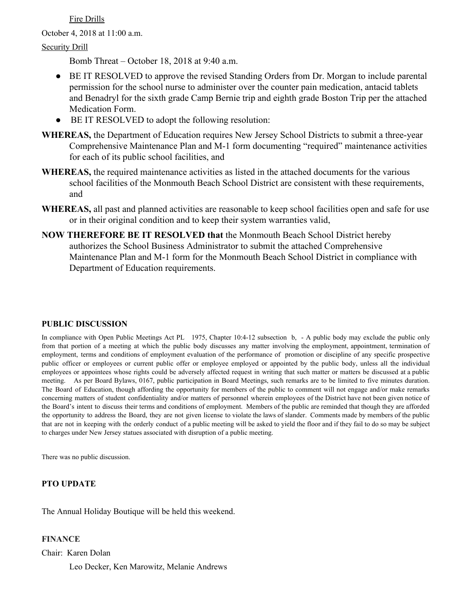Fire Drills

October 4, 2018 at 11:00 a.m.

# Security Drill

Bomb Threat – October 18, 2018 at 9:40 a.m.

- BE IT RESOLVED to approve the revised Standing Orders from Dr. Morgan to include parental permission for the school nurse to administer over the counter pain medication, antacid tablets and Benadryl for the sixth grade Camp Bernie trip and eighth grade Boston Trip per the attached Medication Form.
- BE IT RESOLVED to adopt the following resolution:
- **WHEREAS,** the Department of Education requires New Jersey School Districts to submit a three-year Comprehensive Maintenance Plan and M-1 form documenting "required" maintenance activities for each of its public school facilities, and
- **WHEREAS,** the required maintenance activities as listed in the attached documents for the various school facilities of the Monmouth Beach School District are consistent with these requirements, and
- **WHEREAS,** all past and planned activities are reasonable to keep school facilities open and safe for use or in their original condition and to keep their system warranties valid,
- **NOW THEREFORE BE IT RESOLVED that** the Monmouth Beach School District hereby authorizes the School Business Administrator to submit the attached Comprehensive Maintenance Plan and M-1 form for the Monmouth Beach School District in compliance with Department of Education requirements.

# **PUBLIC DISCUSSION**

In compliance with Open Public Meetings Act PL 1975, Chapter 10:4-12 subsection b, - A public body may exclude the public only from that portion of a meeting at which the public body discusses any matter involving the employment, appointment, termination of employment, terms and conditions of employment evaluation of the performance of promotion or discipline of any specific prospective public officer or employees or current public offer or employee employed or appointed by the public body, unless all the individual employees or appointees whose rights could be adversely affected request in writing that such matter or matters be discussed at a public meeting. As per Board Bylaws, 0167, public participation in Board Meetings, such remarks are to be limited to five minutes duration. The Board of Education, though affording the opportunity for members of the public to comment will not engage and/or make remarks concerning matters of student confidentiality and/or matters of personnel wherein employees of the District have not been given notice of the Board's intent to discuss their terms and conditions of employment. Members of the public are reminded that though they are afforded the opportunity to address the Board, they are not given license to violate the laws of slander. Comments made by members of the public that are not in keeping with the orderly conduct of a public meeting will be asked to yield the floor and if they fail to do so may be subject to charges under New Jersey statues associated with disruption of a public meeting.

There was no public discussion.

# **PTO UPDATE**

The Annual Holiday Boutique will be held this weekend.

### **FINANCE**

Chair: Karen Dolan

Leo Decker, Ken Marowitz, Melanie Andrews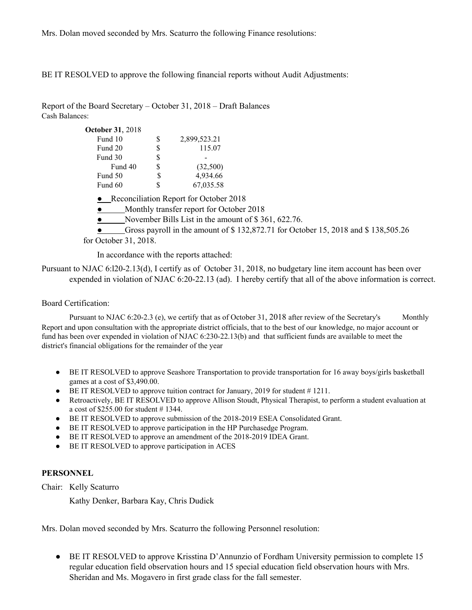Mrs. Dolan moved seconded by Mrs. Scaturro the following Finance resolutions:

BE IT RESOLVED to approve the following financial reports without Audit Adjustments:

Report of the Board Secretary – October 31, 2018 – Draft Balances Cash Balances:

| <b>October 31, 2018</b> |    |                                          |                                                                                   |
|-------------------------|----|------------------------------------------|-----------------------------------------------------------------------------------|
| Fund 10                 | S  | 2,899,523.21                             |                                                                                   |
| Fund 20                 | \$ | 115.07                                   |                                                                                   |
| Fund 30                 | \$ |                                          |                                                                                   |
| Fund 40                 | \$ | (32,500)                                 |                                                                                   |
| Fund 50                 | S  | 4,934.66                                 |                                                                                   |
| Fund 60                 | \$ | 67,035.58                                |                                                                                   |
|                         |    | • Reconciliation Report for October 2018 |                                                                                   |
|                         |    | Monthly transfer report for October 2018 |                                                                                   |
|                         |    |                                          | November Bills List in the amount of \$361, 622.76.                               |
|                         |    |                                          | Gross payroll in the amount of \$132,872.71 for October 15, 2018 and \$138,505.26 |
| for October 31, 2018.   |    |                                          |                                                                                   |

In accordance with the reports attached:

Pursuant to NJAC 6:l20-2.13(d), I certify as of October 31, 2018, no budgetary line item account has been over expended in violation of NJAC 6:20-22.13 (ad). I hereby certify that all of the above information is correct.

### Board Certification:

Pursuant to NJAC 6:20-2.3 (e), we certify that as of October 31, 2018 after review of the Secretary's Monthly Report and upon consultation with the appropriate district officials, that to the best of our knowledge, no major account or fund has been over expended in violation of NJAC 6:230-22.13(b) and that sufficient funds are available to meet the district's financial obligations for the remainder of the year.

- BE IT RESOLVED to approve Seashore Transportation to provide transportation for 16 away boys/girls basketball games at a cost of \$3,490.00.
- BE IT RESOLVED to approve tuition contract for January, 2019 for student # 1211.
- Retroactively, BE IT RESOLVED to approve Allison Stoudt, Physical Therapist, to perform a student evaluation at a cost of \$255.00 for student # 1344.
- BE IT RESOLVED to approve submission of the 2018-2019 ESEA Consolidated Grant.
- BE IT RESOLVED to approve participation in the HP Purchasedge Program.
- BE IT RESOLVED to approve an amendment of the 2018-2019 IDEA Grant.
- BE IT RESOLVED to approve participation in ACES

### **PERSONNEL**

Chair: Kelly Scaturro

Kathy Denker, Barbara Kay, Chris Dudick

Mrs. Dolan moved seconded by Mrs. Scaturro the following Personnel resolution:

**•** BE IT RESOLVED to approve Krisstina D'Annunzio of Fordham University permission to complete 15 regular education field observation hours and 15 special education field observation hours with Mrs. Sheridan and Ms. Mogavero in first grade class for the fall semester.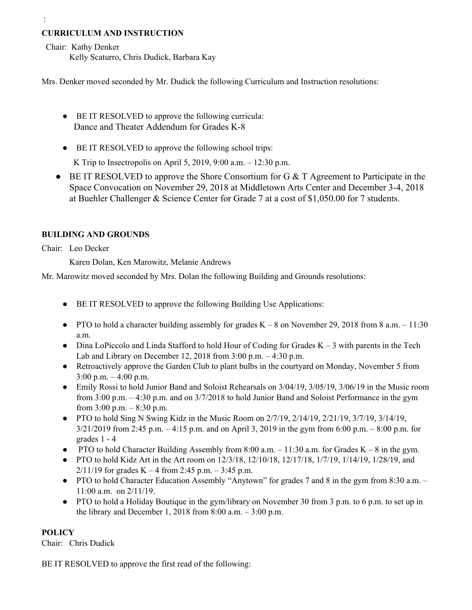# **CURRICULUM AND INSTRUCTION**

Chair: Kathy Denker

:

Kelly Scaturro, Chris Dudick, Barbara Kay

Mrs. Denker moved seconded by Mr. Dudick the following Curriculum and Instruction resolutions:

- BE IT RESOLVED to approve the following curricula: Dance and Theater Addendum for Grades K-8
- BE IT RESOLVED to approve the following school trips:

K Trip to Insectropolis on April 5, 2019, 9:00 a.m. – 12:30 p.m.

● BE IT RESOLVED to approve the Shore Consortium for G & T Agreement to Participate in the Space Convocation on November 29, 2018 at Middletown Arts Center and December 3-4, 2018 at Buehler Challenger & Science Center for Grade 7 at a cost of \$1,050.00 for 7 students.

# **BUILDING AND GROUNDS**

Chair: Leo Decker

Karen Dolan, Ken Marowitz, Melanie Andrews

Mr. Marowitz moved seconded by Mrs. Dolan the following Building and Grounds resolutions:

- BE IT RESOLVED to approve the following Building Use Applications:
- PTO to hold a character building assembly for grades  $K 8$  on November 29, 2018 from 8 a.m.  $-11:30$ a.m.
- $\bullet$  Dina LoPiccolo and Linda Stafford to hold Hour of Coding for Grades K 3 with parents in the Tech Lab and Library on December 12, 2018 from 3:00 p.m. – 4:30 p.m.
- Retroactively approve the Garden Club to plant bulbs in the courtyard on Monday, November 5 from 3:00 p.m. – 4:00 p.m.
- Emily Rossi to hold Junior Band and Soloist Rehearsals on 3/04/19, 3/05/19, 3/06/19 in the Music room from 3:00 p.m. – 4:30 p.m. and on 3/7/2018 to hold Junior Band and Soloist Performance in the gym from  $3:00$  p.m.  $-8:30$  p.m.
- PTO to hold Sing N Swing Kidz in the Music Room on  $2/7/19$ ,  $2/14/19$ ,  $2/21/19$ ,  $3/7/19$ ,  $3/14/19$ , 3/21/2019 from 2:45 p.m. – 4:15 p.m. and on April 3, 2019 in the gym from 6:00 p.m. – 8:00 p.m. for grades 1 - 4
- PTO to hold Character Building Assembly from  $8:00$  a.m.  $-11:30$  a.m. for Grades K 8 in the gym.
- PTO to hold Kidz Art in the Art room on  $12/3/18$ ,  $12/10/18$ ,  $12/17/18$ ,  $1/7/19$ ,  $1/14/19$ ,  $1/28/19$ , and  $2/11/19$  for grades K – 4 from 2:45 p.m. – 3:45 p.m.
- PTO to hold Character Education Assembly "Anytown" for grades 7 and 8 in the gym from 8:30 a.m. 11:00 a.m. on 2/11/19.
- **●** PTO to hold a Holiday Boutique in the gym/library on November 30 from 3 p.m. to 6 p.m. to set up in the library and December 1, 2018 from  $8:00$  a.m.  $-3:00$  p.m.

# **POLICY**

Chair: Chris Dudick

BE IT RESOLVED to approve the first read of the following: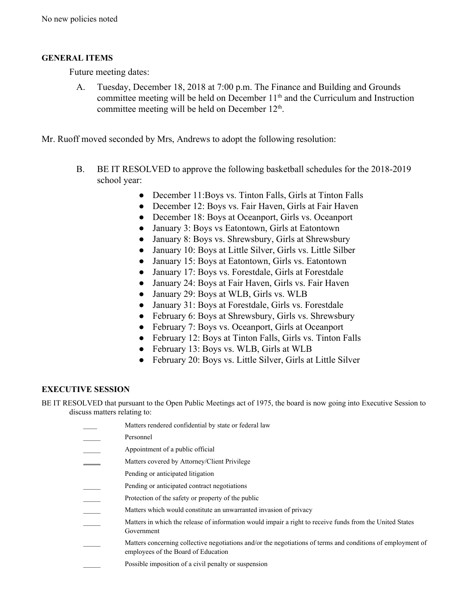# **GENERAL ITEMS**

Future meeting dates:

- A. Tuesday, December 18, 2018 at 7:00 p.m. The Finance and Building and Grounds committee meeting will be held on December  $11<sup>th</sup>$  and the Curriculum and Instruction committee meeting will be held on December 12<sup>th</sup>.
- Mr. Ruoff moved seconded by Mrs, Andrews to adopt the following resolution:
	- B. BE IT RESOLVED to approve the following basketball schedules for the 2018-2019 school year:
		- December 11: Boys vs. Tinton Falls, Girls at Tinton Falls
		- December 12: Boys vs. Fair Haven, Girls at Fair Haven
		- December 18: Boys at Oceanport, Girls vs. Oceanport
		- January 3: Boys vs Eatontown, Girls at Eatontown
		- January 8: Boys vs. Shrewsbury, Girls at Shrewsbury
		- January 10: Boys at Little Silver, Girls vs. Little Silber
		- January 15: Boys at Eatontown, Girls vs. Eatontown
		- January 17: Boys vs. Forestdale, Girls at Forestdale
		- January 24: Boys at Fair Haven, Girls vs. Fair Haven
		- January 29: Boys at WLB, Girls vs. WLB
		- January 31: Boys at Forestdale, Girls vs. Forestdale
		- February 6: Boys at Shrewsbury, Girls vs. Shrewsbury
		- February 7: Boys vs. Oceanport, Girls at Oceanport
		- February 12: Boys at Tinton Falls, Girls vs. Tinton Falls
		- February 13: Boys vs. WLB, Girls at WLB
		- February 20: Boys vs. Little Silver, Girls at Little Silver

# **EXECUTIVE SESSION**

BE IT RESOLVED that pursuant to the Open Public Meetings act of 1975, the board is now going into Executive Session to discuss matters relating to:

| Matters rendered confidential by state or federal law                                                                                              |
|----------------------------------------------------------------------------------------------------------------------------------------------------|
| Personnel                                                                                                                                          |
| Appointment of a public official                                                                                                                   |
| Matters covered by Attorney/Client Privilege                                                                                                       |
| Pending or anticipated litigation                                                                                                                  |
| Pending or anticipated contract negotiations                                                                                                       |
| Protection of the safety or property of the public                                                                                                 |
| Matters which would constitute an unwarranted invasion of privacy                                                                                  |
| Matters in which the release of information would impair a right to receive funds from the United States<br>Government                             |
| Matters concerning collective negotiations and/or the negotiations of terms and conditions of employment of<br>employees of the Board of Education |
| Possible imposition of a civil penalty or suspension                                                                                               |